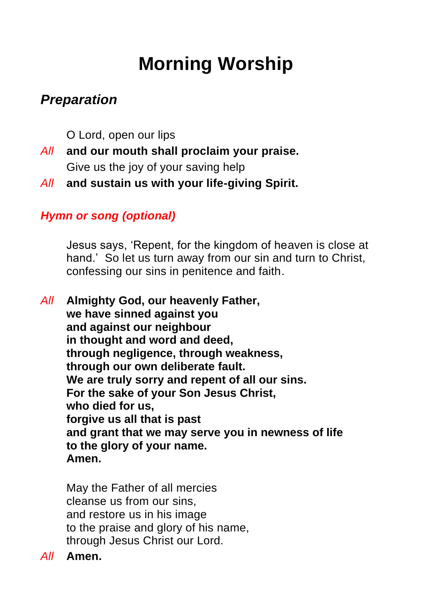# **Morning Worship**

# *Preparation*

O Lord, open our lips

- *All* **and our mouth shall proclaim your praise.** Give us the joy of your saving help
- *All* **and sustain us with your life-giving Spirit.**

### *Hymn or song (optional)*

Jesus says, 'Repent, for the kingdom of heaven is close at hand.' So let us turn away from our sin and turn to Christ, confessing our sins in penitence and faith.

*All* **Almighty God, our heavenly Father, we have sinned against you and against our neighbour in thought and word and deed, through negligence, through weakness, through our own deliberate fault. We are truly sorry and repent of all our sins. For the sake of your Son Jesus Christ, who died for us, forgive us all that is past and grant that we may serve you in newness of life to the glory of your name. Amen.**

May the Father of all mercies cleanse us from our sins, and restore us in his image to the praise and glory of his name, through Jesus Christ our Lord.

*All* **Amen.**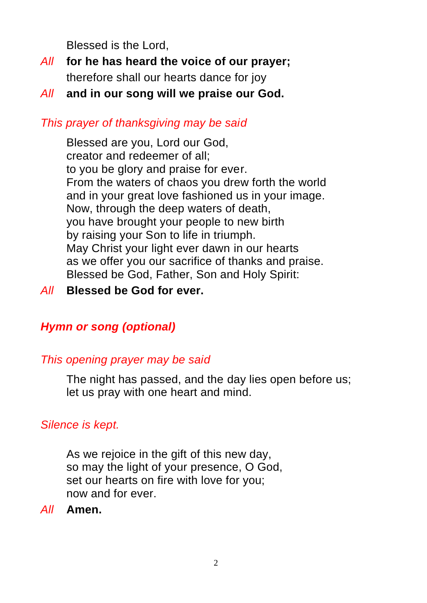Blessed is the Lord,

- *All* **for he has heard the voice of our prayer;** therefore shall our hearts dance for joy
- *All* **and in our song will we praise our God.**

#### *This prayer of thanksgiving may be said*

Blessed are you, Lord our God, creator and redeemer of all; to you be glory and praise for ever. From the waters of chaos you drew forth the world and in your great love fashioned us in your image. Now, through the deep waters of death, you have brought your people to new birth by raising your Son to life in triumph. May Christ your light ever dawn in our hearts as we offer you our sacrifice of thanks and praise. Blessed be God, Father, Son and Holy Spirit:

#### *All* **Blessed be God for ever.**

### *Hymn or song (optional)*

#### *This opening prayer may be said*

The night has passed, and the day lies open before us; let us pray with one heart and mind.

### *Silence is kept.*

As we rejoice in the gift of this new day, so may the light of your presence, O God, set our hearts on fire with love for you; now and for ever.

*All* **Amen.**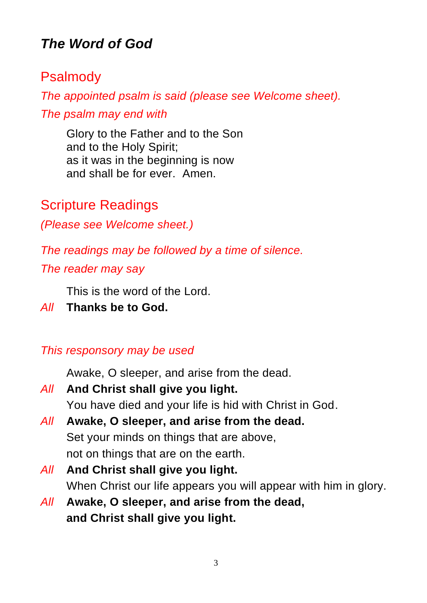# *The Word of God*

## Psalmody

*The appointed psalm is said (please see Welcome sheet).*

*The psalm may end with*

Glory to the Father and to the Son and to the Holy Spirit; as it was in the beginning is now and shall be for ever. Amen.

Scripture Readings

*(Please see Welcome sheet.)*

*The readings may be followed by a time of silence.*

*The reader may say*

This is the word of the Lord.

*All* **Thanks be to God.**

*This responsory may be used*

Awake, O sleeper, and arise from the dead.

- *All* **And Christ shall give you light.** You have died and your life is hid with Christ in God.
- *All* **Awake, O sleeper, and arise from the dead.** Set your minds on things that are above, not on things that are on the earth.
- *All* **And Christ shall give you light.** When Christ our life appears you will appear with him in glory.
- *All* **Awake, O sleeper, and arise from the dead, and Christ shall give you light.**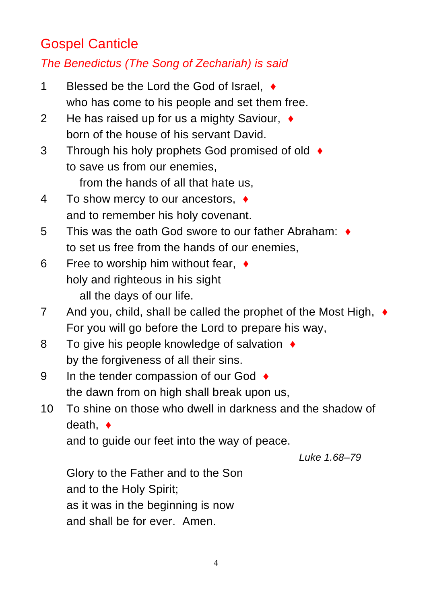# Gospel Canticle

### *The Benedictus (The Song of Zechariah) is said*

- 1 Blessed be the Lord the God of Israel, ♦ who has come to his people and set them free.
- 2 He has raised up for us a mighty Saviour, ♦ born of the house of his servant David.
- 3 Through his holy prophets God promised of old ♦ to save us from our enemies,

from the hands of all that hate us,

- 4 To show mercy to our ancestors, ♦ and to remember his holy covenant.
- 5 This was the oath God swore to our father Abraham: ♦ to set us free from the hands of our enemies,
- 6 Free to worship him without fear, ♦ holy and righteous in his sight all the days of our life.
- 7 And you, child, shall be called the prophet of the Most High, ♦ For you will go before the Lord to prepare his way,
- 8 To give his people knowledge of salvation ♦ by the forgiveness of all their sins.
- 9 In the tender compassion of our God ♦ the dawn from on high shall break upon us,
- 10 To shine on those who dwell in darkness and the shadow of death, ♦

and to guide our feet into the way of peace.

*Luke 1.68–79*

Glory to the Father and to the Son and to the Holy Spirit; as it was in the beginning is now and shall be for ever. Amen.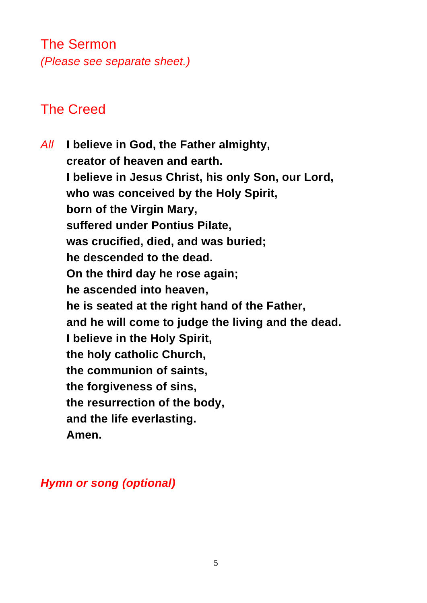# The Sermon *(Please see separate sheet.)*

# The Creed

*All* **I believe in God, the Father almighty, creator of heaven and earth. I believe in Jesus Christ, his only Son, our Lord, who was conceived by the Holy Spirit, born of the Virgin Mary, suffered under Pontius Pilate, was crucified, died, and was buried; he descended to the dead. On the third day he rose again; he ascended into heaven, he is seated at the right hand of the Father, and he will come to judge the living and the dead. I believe in the Holy Spirit, the holy catholic Church, the communion of saints, the forgiveness of sins, the resurrection of the body, and the life everlasting. Amen.**

#### *Hymn or song (optional)*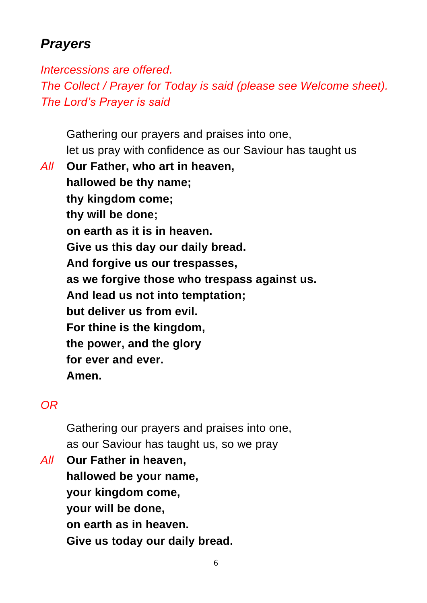# *Prayers*

*Intercessions are offered. The Collect / Prayer for Today is said (please see Welcome sheet). The Lord's Prayer is said*

Gathering our prayers and praises into one, let us pray with confidence as our Saviour has taught us

*All* **Our Father, who art in heaven, hallowed be thy name; thy kingdom come; thy will be done; on earth as it is in heaven. Give us this day our daily bread. And forgive us our trespasses, as we forgive those who trespass against us. And lead us not into temptation; but deliver us from evil. For thine is the kingdom, the power, and the glory for ever and ever. Amen.**

### *OR*

Gathering our prayers and praises into one, as our Saviour has taught us, so we pray

*All* **Our Father in heaven, hallowed be your name, your kingdom come, your will be done, on earth as in heaven. Give us today our daily bread.**